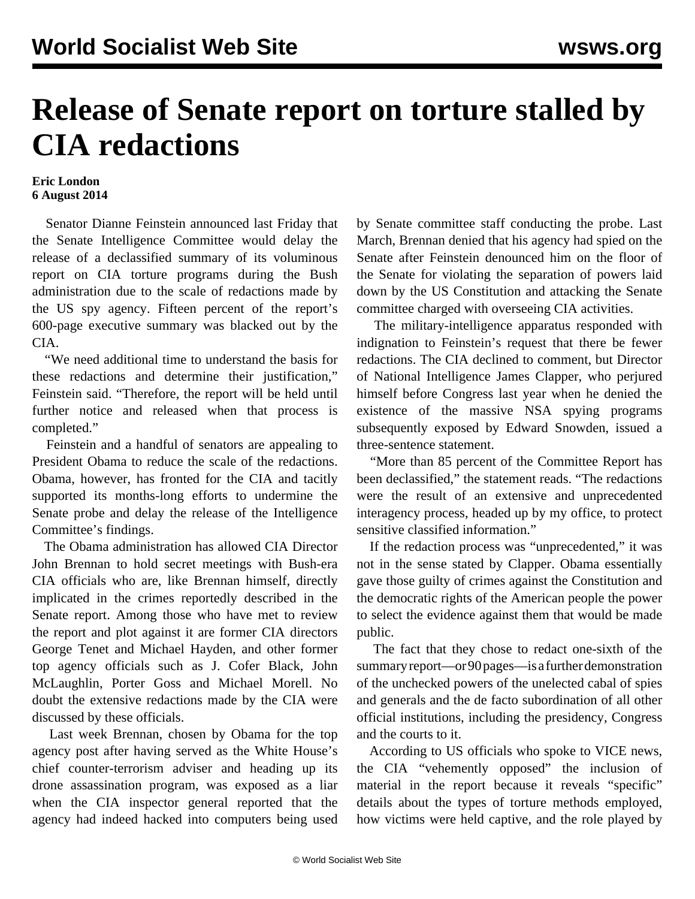## **Release of Senate report on torture stalled by CIA redactions**

## **Eric London 6 August 2014**

 Senator Dianne Feinstein announced last Friday that the Senate Intelligence Committee would delay the release of a declassified summary of its voluminous report on CIA torture programs during the Bush administration due to the scale of redactions made by the US spy agency. Fifteen percent of the report's 600-page executive summary was blacked out by the CIA.

 "We need additional time to understand the basis for these redactions and determine their justification," Feinstein said. "Therefore, the report will be held until further notice and released when that process is completed."

 Feinstein and a handful of senators are appealing to President Obama to reduce the scale of the redactions. Obama, however, has fronted for the CIA and tacitly supported its months-long efforts to undermine the Senate probe and delay the release of the Intelligence Committee's findings.

 The Obama administration has allowed CIA Director John Brennan to hold secret meetings with Bush-era CIA officials who are, like Brennan himself, directly implicated in the crimes reportedly described in the Senate report. Among those who have met to review the report and plot against it are former CIA directors George Tenet and Michael Hayden, and other former top agency officials such as J. Cofer Black, John McLaughlin, Porter Goss and Michael Morell. No doubt the extensive redactions made by the CIA were discussed by these officials.

 Last week Brennan, chosen by Obama for the top agency post after having served as the White House's chief counter-terrorism adviser and heading up its drone assassination program, was exposed as a liar when the CIA inspector general reported that the agency had indeed hacked into computers being used by Senate committee staff conducting the probe. Last March, Brennan denied that his agency had spied on the Senate after Feinstein denounced him on the floor of the Senate for violating the separation of powers laid down by the US Constitution and attacking the Senate committee charged with overseeing CIA activities.

 The military-intelligence apparatus responded with indignation to Feinstein's request that there be fewer redactions. The CIA declined to comment, but Director of National Intelligence James Clapper, who perjured himself before Congress last year when he denied the existence of the massive NSA spying programs subsequently exposed by Edward Snowden, issued a three-sentence statement.

 "More than 85 percent of the Committee Report has been declassified," the statement reads. "The redactions were the result of an extensive and unprecedented interagency process, headed up by my office, to protect sensitive classified information."

 If the redaction process was "unprecedented," it was not in the sense stated by Clapper. Obama essentially gave those guilty of crimes against the Constitution and the democratic rights of the American people the power to select the evidence against them that would be made public.

 The fact that they chose to redact one-sixth of the summary report—or 90 pages—is a further demonstration of the unchecked powers of the unelected cabal of spies and generals and the de facto subordination of all other official institutions, including the presidency, Congress and the courts to it.

 According to US officials who spoke to VICE news, the CIA "vehemently opposed" the inclusion of material in the report because it reveals "specific" details about the types of torture methods employed, how victims were held captive, and the role played by